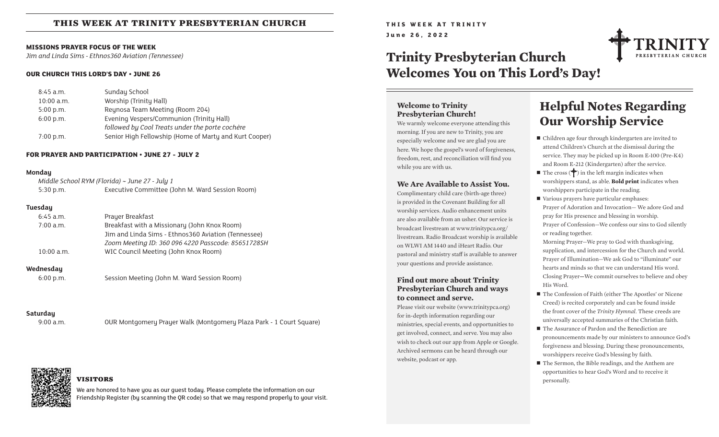## **this week at trinity presbyterian church**

#### **MISSIONS PRAYER FOCUS OF THE WEEK**

*Jim and Linda Sims - Ethnos360 Aviation (Tennessee)*

#### **OUR CHURCH THIS LORD'S DAY • JUNE 26**

| $8:45$ a.m.  | Sunday School                                          |
|--------------|--------------------------------------------------------|
| $10:00$ a.m. | Worship (Trinity Hall)                                 |
| $5:00$ p.m.  | Reynosa Team Meeting (Room 204)                        |
| $6:00$ p.m.  | Evening Vespers/Communion (Trinity Hall)               |
|              | followed by Cool Treats under the porte cochère        |
| 7:00 p.m.    | Senior High Fellowship (Home of Marty and Kurt Cooper) |

#### **FOR PRAYER AND PARTICIPATION • JUNE 27 - JULY 2**

#### **Monday**

| Middle School RYM (Florida) ~ June 27 - July 1 |                                                 |  |  |  |  |  |
|------------------------------------------------|-------------------------------------------------|--|--|--|--|--|
| $5:30$ p.m.                                    | Executive Committee (John M. Ward Session Room) |  |  |  |  |  |

#### **Tuesday**

| $6:45$ a.m.  | Prayer Breakfast                                     |
|--------------|------------------------------------------------------|
| $7:00$ a.m.  | Breakfast with a Missionary (John Knox Room)         |
|              | Jim and Linda Sims - Ethnos 360 Aviation (Tennessee) |
|              | Zoom Meeting ID: 360 096 4220 Passcode: 85651728SH   |
| $10:00$ a.m. | WIC Council Meeting (John Knox Room)                 |
|              |                                                      |

#### **Wednesday**

6:00 p.m. Session Meeting (John M. Ward Session Room)

#### **Saturday**

9:00 a.m. OUR Montgomery Prayer Walk (Montgomery Plaza Park - 1 Court Square)

### **visitors**

We are honored to have you as our guest today. Please complete the information on our Friendship Register (by scanning the QR code) so that we may respond properly to your visit. **THIS WEEK AT TRINITY June 26, 2022**

# **Trinity Presbyterian Church Welcomes You on This Lord's Day!**



#### **Welcome to Trinity Presbyterian Church!**

We warmly welcome everyone attending this morning. If you are new to Trinity, you are especially welcome and we are glad you are here. We hope the gospel's word of forgiveness, freedom, rest, and reconciliation will find you while you are with us.

#### **We Are Available to Assist You.**

Complimentary child care (birth-age three) is provided in the Covenant Building for all worship services. Audio enhancement units are also available from an usher. Our service is broadcast livestream at www.trinitypca.org/ livestream. Radio Broadcast worship is available on WLWI AM 1440 and iHeart Radio. Our pastoral and ministry staff is available to answer your questions and provide assistance.

#### **Find out more about Trinity Presbyterian Church and ways to connect and serve.**

Please visit our website (www.trinitypca.org) for in-depth information regarding our ministries, special events, and opportunities to get involved, connect, and serve. You may also wish to check out our app from Apple or Google. Archived sermons can be heard through our website, podcast or app.

## **Helpful Notes Regarding Our Worship Service**

- $\blacksquare$  Children age four through kindergarten are invited to attend Children's Church at the dismissal during the service. They may be picked up in Room E-100 (Pre-K4) and Room E-212 (Kindergarten) after the service.
- The cross  $(\bigcirc$  in the left margin indicates when worshippers stand, as able. **Bold print** indicates when worshippers participate in the reading.
- $\blacksquare$  Various prayers have particular emphases: Prayer of Adoration and Invocation— We adore God and pray for His presence and blessing in worship. Prayer of Confession—We confess our sins to God silently or reading together.

Morning Prayer—We pray to God with thanksgiving, supplication, and intercession for the Church and world. Prayer of Illumination—We ask God to "illuminate" our hearts and minds so that we can understand His word. Closing Prayer**—**We commit ourselves to believe and obey His Word.

- The Confession of Faith (either The Apostles' or Nicene Creed) is recited corporately and can be found inside the front cover of the *Trinity Hymnal.* These creeds are universally accepted summaries of the Christian faith.
- The Assurance of Pardon and the Benediction are pronouncements made by our ministers to announce God's forgiveness and blessing. During these pronouncements, worshippers receive God's blessing by faith.
- $\blacksquare$  The Sermon, the Bible readings, and the Anthem are opportunities to hear God's Word and to receive it personally.